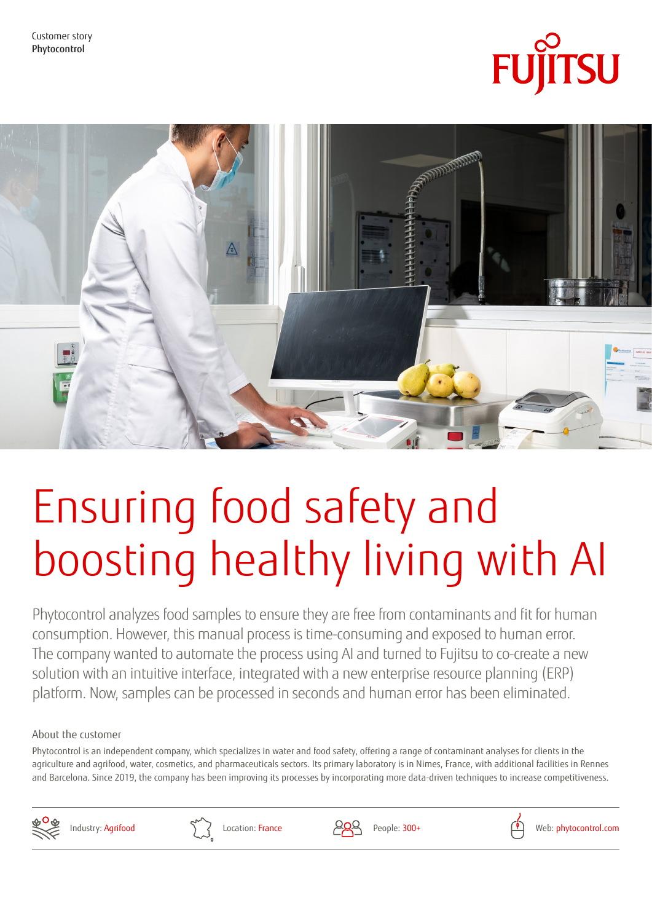



# Ensuring food safety and boosting healthy living with AI

Phytocontrol analyzes food samples to ensure they are free from contaminants and fit for human consumption. However, this manual process is time-consuming and exposed to human error. The company wanted to automate the process using AI and turned to Fujitsu to co-create a new solution with an intuitive interface, integrated with a new enterprise resource planning (ERP) platform. Now, samples can be processed in seconds and human error has been eliminated.

## About the customer

Phytocontrol is an independent company, which specializes in water and food safety, offering a range of contaminant analyses for clients in the agriculture and agrifood, water, cosmetics, and pharmaceuticals sectors. Its primary laboratory is in Nimes, France, with additional facilities in Rennes and Barcelona. Since 2019, the company has been improving its processes by incorporating more data-driven techniques to increase competitiveness.







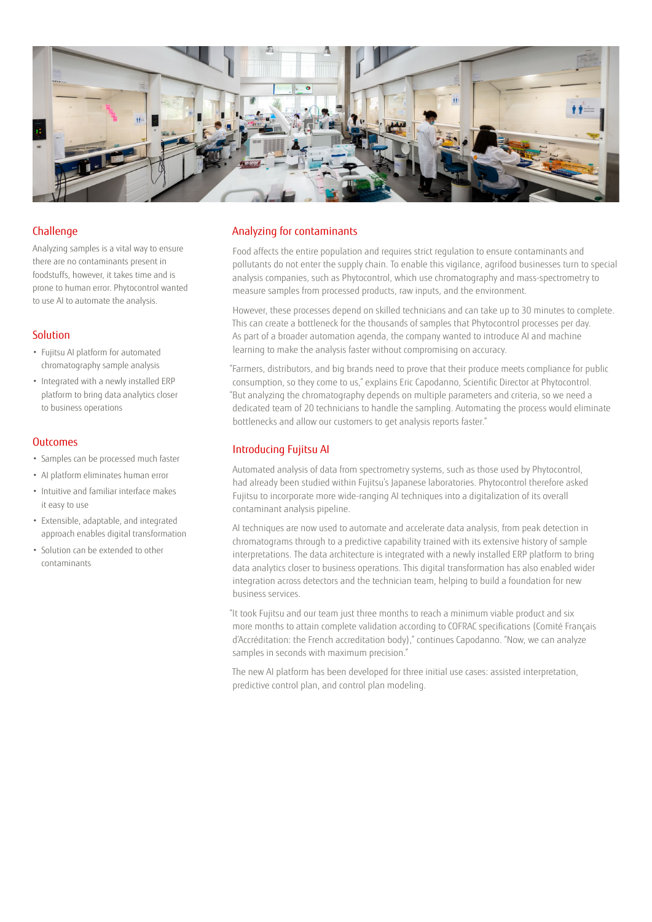

#### **Challenge**

Analyzing samples is a vital way to ensure there are no contaminants present in foodstuffs, however, it takes time and is prone to human error. Phytocontrol wanted to use AI to automate the analysis.

### Solution

- Fujitsu AI platform for automated chromatography sample analysis
- Integrated with a newly installed ERP platform to bring data analytics closer to business operations

#### **Outcomes**

- Samples can be processed much faster
- AI platform eliminates human error
- Intuitive and familiar interface makes it easy to use
- Extensible, adaptable, and integrated approach enables digital transformation
- Solution can be extended to other contaminants

#### Analyzing for contaminants

Food affects the entire population and requires strict regulation to ensure contaminants and pollutants do not enter the supply chain. To enable this vigilance, agrifood businesses turn to special analysis companies, such as Phytocontrol, which use chromatography and mass-spectrometry to measure samples from processed products, raw inputs, and the environment.

However, these processes depend on skilled technicians and can take up to 30 minutes to complete. This can create a bottleneck for the thousands of samples that Phytocontrol processes per day. As part of a broader automation agenda, the company wanted to introduce AI and machine learning to make the analysis faster without compromising on accuracy.

"Farmers, distributors, and big brands need to prove that their produce meets compliance for public consumption, so they come to us," explains Eric Capodanno, Scientific Director at Phytocontrol. "But analyzing the chromatography depends on multiple parameters and criteria, so we need a dedicated team of 20 technicians to handle the sampling. Automating the process would eliminate bottlenecks and allow our customers to get analysis reports faster."

#### Introducing Fujitsu AI

Automated analysis of data from spectrometry systems, such as those used by Phytocontrol, had already been studied within Fujitsu's Japanese laboratories. Phytocontrol therefore asked Fujitsu to incorporate more wide-ranging AI techniques into a digitalization of its overall contaminant analysis pipeline.

AI techniques are now used to automate and accelerate data analysis, from peak detection in chromatograms through to a predictive capability trained with its extensive history of sample interpretations. The data architecture is integrated with a newly installed ERP platform to bring data analytics closer to business operations. This digital transformation has also enabled wider integration across detectors and the technician team, helping to build a foundation for new business services.

"It took Fujitsu and our team just three months to reach a minimum viable product and six more months to attain complete validation according to COFRAC specifications (Comité Français d'Accréditation: the French accreditation body)," continues Capodanno. "Now, we can analyze samples in seconds with maximum precision."

The new AI platform has been developed for three initial use cases: assisted interpretation, predictive control plan, and control plan modeling.